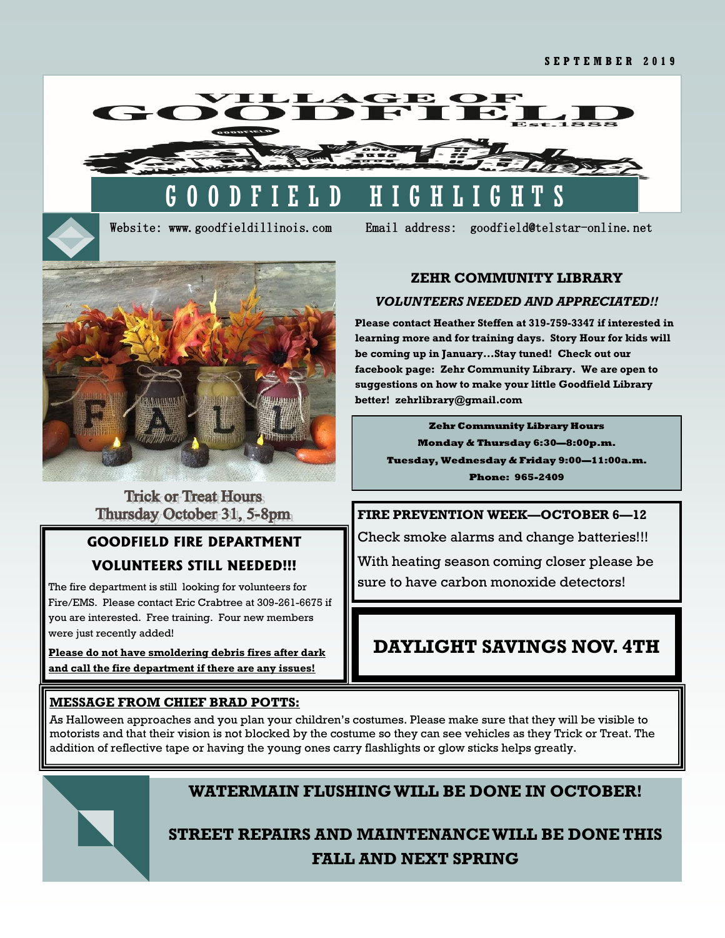



Website: www.goodfieldillinois.com Email address: goodfield@telstar-online.net



### **Trick or Treat Hours** Thursday October 31, 5-8pm

# **GOODFIELD FIRE DEPARTMENT VOLUNTEERS STILL NEEDED!!!**

The fire department is still looking for volunteers for Fire/EMS. Please contact Eric Crabtree at 309-261-6675 if you are interested. Free training. Four new members were just recently added!

**Please do not have smoldering debris fires after dark and call the fire department if there are any issues!**

#### **ZEHR COMMUNITY LIBRARY**

#### *VOLUNTEERS NEEDED AND APPRECIATED!!*

**Please contact Heather Steffen at 319-759-3347 if interested in learning more and for training days. Story Hour for kids will be coming up in January...Stay tuned! Check out our facebook page: Zehr Community Library. We are open to suggestions on how to make your little Goodfield Library better! zehrlibrary@gmail.com**

**Zehr Community Library Hours Monday & Thursday 6:30—8:00p.m. Tuesday, Wednesday & Friday 9:00—11:00a.m. Phone: 965-2409**

# **FIRE PREVENTION WEEK—OCTOBER 6—12**

Check smoke alarms and change batteries!!! With heating season coming closer please be sure to have carbon monoxide detectors!

# **DAYLIGHT SAVINGS NOV. 4TH**

### **MESSAGE FROM CHIEF BRAD POTTS:**

As Halloween approaches and you plan your children's costumes. Please make sure that they will be visible to motorists and that their vision is not blocked by the costume so they can see vehicles as they Trick or Treat. The addition of reflective tape or having the young ones carry flashlights or glow sticks helps greatly.



# **WATERMAIN FLUSHING WILL BE DONE IN OCTOBER!**

**STREET REPAIRS AND MAINTENANCE WILL BE DONE THIS FALL AND NEXT SPRING**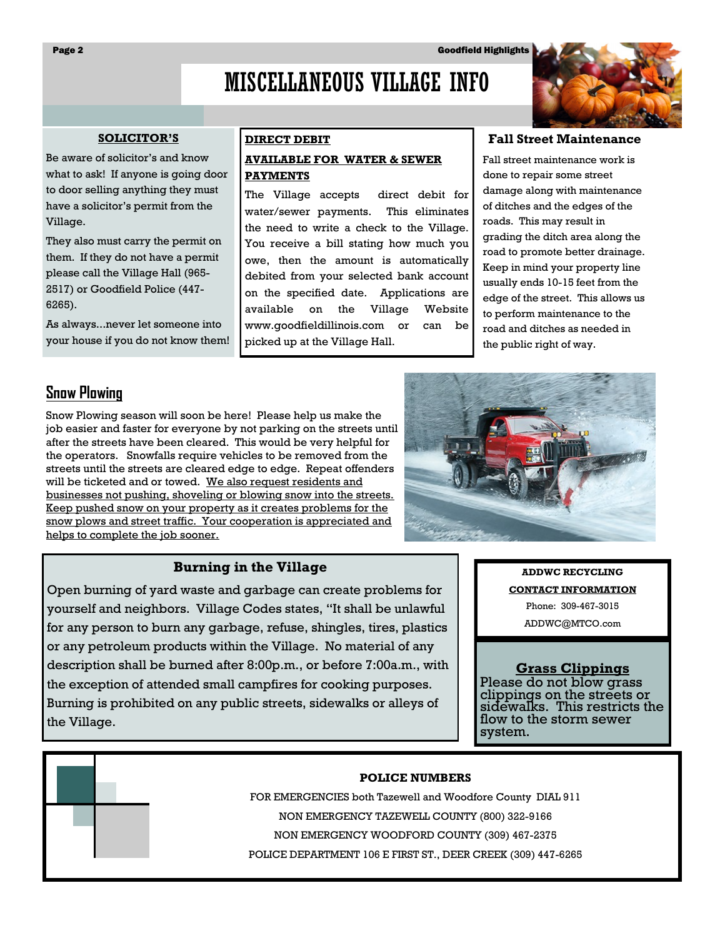# MISCELLANEOUS VILLAGE INFO

#### **SOLICITOR'S**

Be aware of solicitor's and know what to ask! If anyone is going door to door selling anything they must have a solicitor's permit from the Village.

They also must carry the permit on them. If they do not have a permit please call the Village Hall (965- 2517) or Goodfield Police (447- 6265).

As always...never let someone into your house if you do not know them!

#### **DIRECT DEBIT AVAILABLE FOR WATER & SEWER PAYMENTS**

The Village accepts direct debit for water/sewer payments. This eliminates the need to write a check to the Village. You receive a bill stating how much you owe, then the amount is automatically debited from your selected bank account on the specified date. Applications are available on the Village Website www.goodfieldillinois.com or can be picked up at the Village Hall.

#### **Fall Street Maintenance**

Fall street maintenance work is done to repair some street damage along with maintenance of ditches and the edges of the roads. This may result in grading the ditch area along the road to promote better drainage. Keep in mind your property line usually ends 10-15 feet from the edge of the street. This allows us to perform maintenance to the road and ditches as needed in the public right of way.

# **Snow Plowing**

Snow Plowing season will soon be here! Please help us make the job easier and faster for everyone by not parking on the streets until after the streets have been cleared. This would be very helpful for the operators. Snowfalls require vehicles to be removed from the streets until the streets are cleared edge to edge. Repeat offenders will be ticketed and or towed. We also request residents and businesses not pushing, shoveling or blowing snow into the streets. Keep pushed snow on your property as it creates problems for the snow plows and street traffic. Your cooperation is appreciated and helps to complete the job sooner.

#### **Burning in the Village**

Open burning of yard waste and garbage can create problems for yourself and neighbors. Village Codes states, "It shall be unlawful for any person to burn any garbage, refuse, shingles, tires, plastics or any petroleum products within the Village. No material of any description shall be burned after 8:00p.m., or before 7:00a.m., with the exception of attended small campfires for cooking purposes. Burning is prohibited on any public streets, sidewalks or alleys of the Village.

**ADDWC RECYCLING CONTACT INFORMATION**

Phone: 309-467-3015

ADDWC@MTCO.com

#### **Grass Clippings**

Please do not blow grass clippings on the streets or sidewalks. This restricts the flow to the storm sewer system.

#### **POLICE NUMBERS**

FOR EMERGENCIES both Tazewell and Woodfore County DIAL 911 NON EMERGENCY TAZEWELL COUNTY (800) 322-9166 NON EMERGENCY WOODFORD COUNTY (309) 467-2375 POLICE DEPARTMENT 106 E FIRST ST., DEER CREEK (309) 447-6265